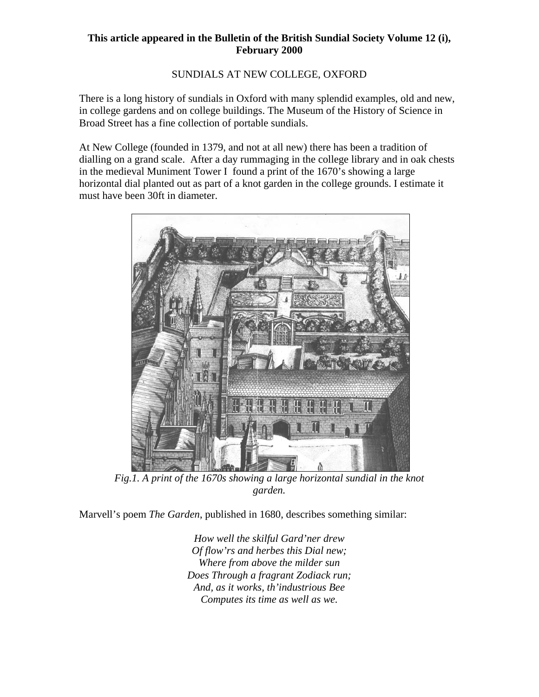## **This article appeared in the Bulletin of the British Sundial Society Volume 12 (i), February 2000**

## SUNDIALS AT NEW COLLEGE, OXFORD

There is a long history of sundials in Oxford with many splendid examples, old and new, in college gardens and on college buildings. The Museum of the History of Science in Broad Street has a fine collection of portable sundials.

At New College (founded in 1379, and not at all new) there has been a tradition of dialling on a grand scale. After a day rummaging in the college library and in oak chests in the medieval Muniment Tower I found a print of the 1670's showing a large horizontal dial planted out as part of a knot garden in the college grounds. I estimate it must have been 30ft in diameter.



*Fig.1. A print of the 1670s showing a large horizontal sundial in the knot garden.*

Marvell's poem *The Garden*, published in 1680, describes something similar:

*How well the skilful Gard'ner drew Of flow'rs and herbes this Dial new; Where from above the milder sun Does Through a fragrant Zodiack run; And, as it works, th'industrious Bee Computes its time as well as we.*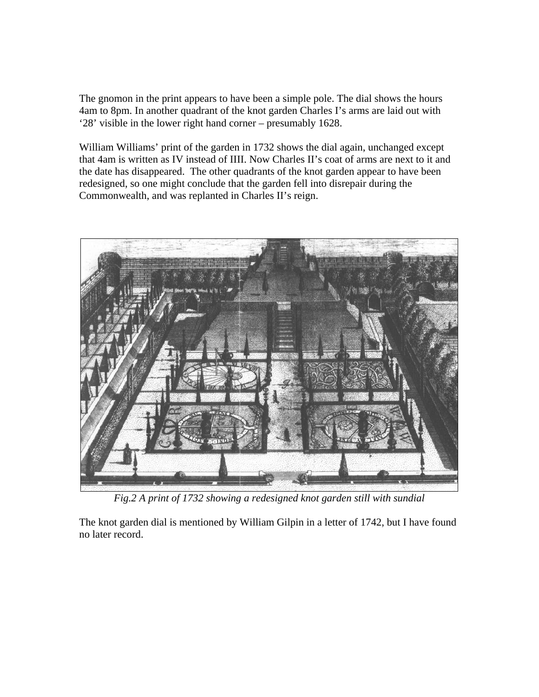The gnomon in the print appears to have been a simple pole. The dial shows the hours 4am to 8pm. In another quadrant of the knot garden Charles I's arms are laid out with '28' visible in the lower right hand corner – presumably 1628.

William Williams' print of the garden in 1732 shows the dial again, unchanged except that 4am is written as IV instead of IIII. Now Charles II's coat of arms are next to it and the date has disappeared. The other quadrants of the knot garden appear to have been redesigned, so one might conclude that the garden fell into disrepair during the Commonwealth, and was replanted in Charles II's reign.



*Fig.2 A print of 1732 showing a redesigned knot garden still with sundial* 

The knot garden dial is mentioned by William Gilpin in a letter of 1742, but I have found no later record.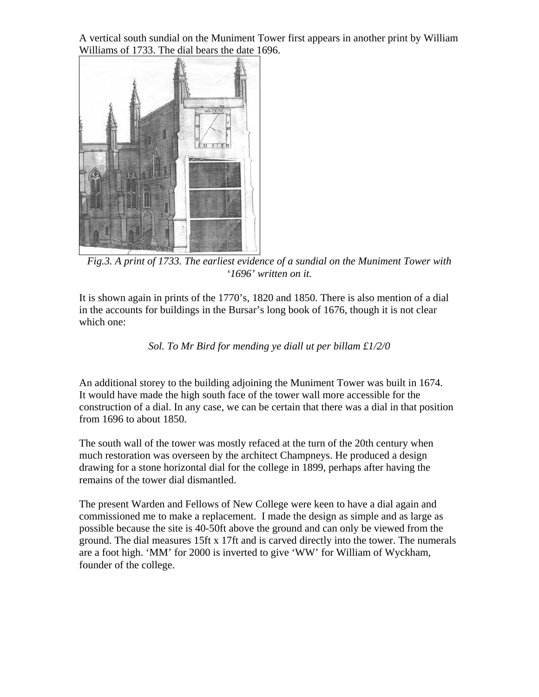A vertical south sundial on the Muniment Tower first appears in another print by William Williams of 1733. The dial bears the date 1696.



*Fig.3. A print of 1733. The earliest evidence of a sundial on the Muniment Tower with '1696' written on it.* 

It is shown again in prints of the 1770's, 1820 and 1850. There is also mention of a dial in the accounts for buildings in the Bursar's long book of 1676, though it is not clear which one:

*Sol. To Mr Bird for mending ye diall ut per billam £1/2/0* 

An additional storey to the building adjoining the Muniment Tower was built in 1674. It would have made the high south face of the tower wall more accessible for the construction of a dial. In any case, we can be certain that there was a dial in that position from 1696 to about 1850.

The south wall of the tower was mostly refaced at the turn of the 20th century when much restoration was overseen by the architect Champneys. He produced a design drawing for a stone horizontal dial for the college in 1899, perhaps after having the remains of the tower dial dismantled.

The present Warden and Fellows of New College were keen to have a dial again and commissioned me to make a replacement. I made the design as simple and as large as possible because the site is 40-50ft above the ground and can only be viewed from the ground. The dial measures 15ft x 17ft and is carved directly into the tower. The numerals are a foot high. 'MM' for 2000 is inverted to give 'WW' for William of Wyckham, founder of the college.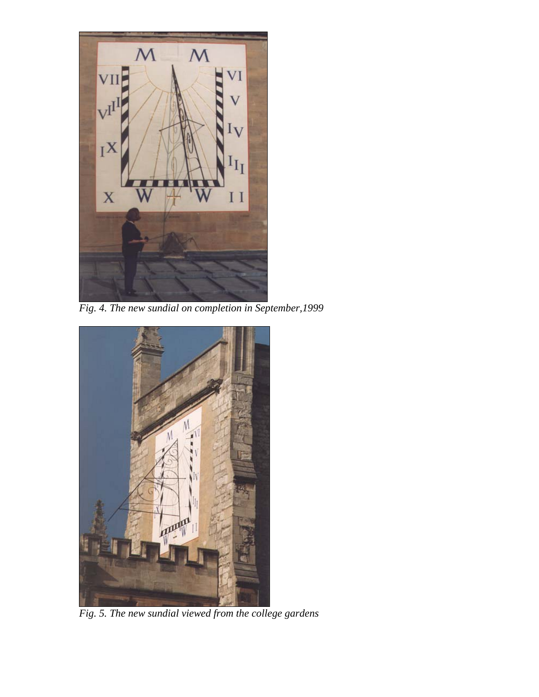

*Fig. 4. The new sundial on completion in September,1999* 



*Fig. 5. The new sundial viewed from the college gardens*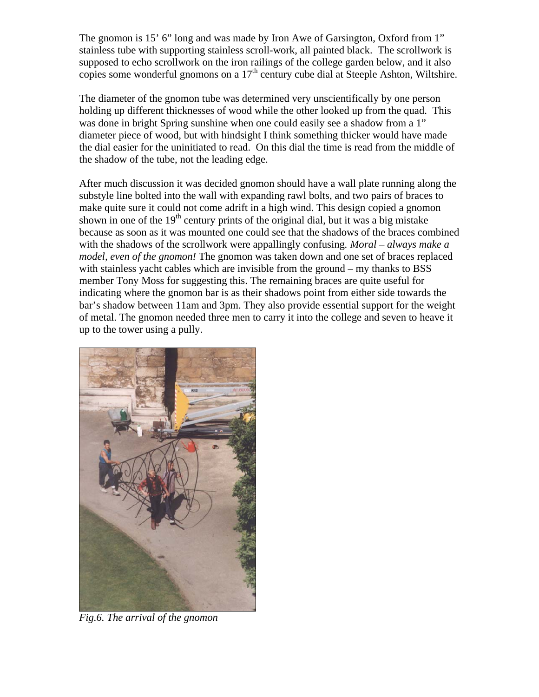The gnomon is 15' 6" long and was made by Iron Awe of Garsington, Oxford from 1" stainless tube with supporting stainless scroll-work, all painted black. The scrollwork is supposed to echo scrollwork on the iron railings of the college garden below, and it also copies some wonderful gnomons on a  $17<sup>th</sup>$  century cube dial at Steeple Ashton, Wiltshire.

The diameter of the gnomon tube was determined very unscientifically by one person holding up different thicknesses of wood while the other looked up from the quad. This was done in bright Spring sunshine when one could easily see a shadow from a 1" diameter piece of wood, but with hindsight I think something thicker would have made the dial easier for the uninitiated to read. On this dial the time is read from the middle of the shadow of the tube, not the leading edge.

After much discussion it was decided gnomon should have a wall plate running along the substyle line bolted into the wall with expanding rawl bolts, and two pairs of braces to make quite sure it could not come adrift in a high wind. This design copied a gnomon shown in one of the  $19<sup>th</sup>$  century prints of the original dial, but it was a big mistake because as soon as it was mounted one could see that the shadows of the braces combined with the shadows of the scrollwork were appallingly confusing*. Moral – always make a model, even of the gnomon!* The gnomon was taken down and one set of braces replaced with stainless yacht cables which are invisible from the ground – my thanks to BSS member Tony Moss for suggesting this. The remaining braces are quite useful for indicating where the gnomon bar is as their shadows point from either side towards the bar's shadow between 11am and 3pm. They also provide essential support for the weight of metal. The gnomon needed three men to carry it into the college and seven to heave it up to the tower using a pully.



*Fig.6. The arrival of the gnomon*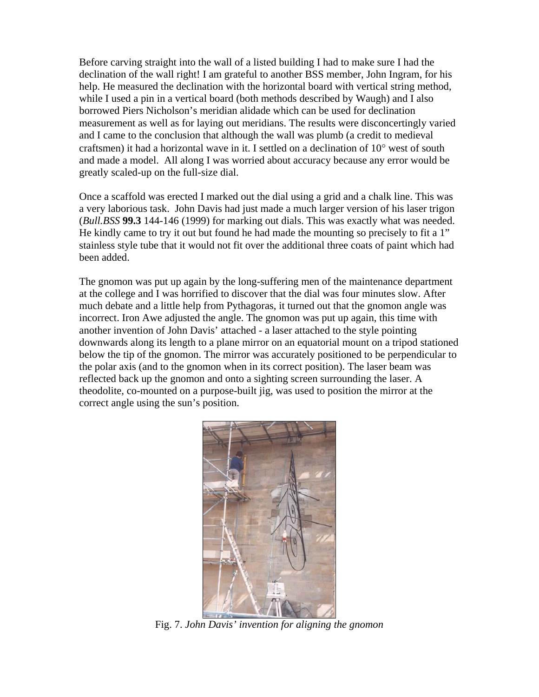Before carving straight into the wall of a listed building I had to make sure I had the declination of the wall right! I am grateful to another BSS member, John Ingram, for his help. He measured the declination with the horizontal board with vertical string method, while I used a pin in a vertical board (both methods described by Waugh) and I also borrowed Piers Nicholson's meridian alidade which can be used for declination measurement as well as for laying out meridians. The results were disconcertingly varied and I came to the conclusion that although the wall was plumb (a credit to medieval craftsmen) it had a horizontal wave in it. I settled on a declination of  $10^{\circ}$  west of south and made a model. All along I was worried about accuracy because any error would be greatly scaled-up on the full-size dial.

Once a scaffold was erected I marked out the dial using a grid and a chalk line. This was a very laborious task. John Davis had just made a much larger version of his laser trigon (*Bull.BSS* **99.3** 144-146 (1999) for marking out dials. This was exactly what was needed. He kindly came to try it out but found he had made the mounting so precisely to fit a 1" stainless style tube that it would not fit over the additional three coats of paint which had been added.

The gnomon was put up again by the long-suffering men of the maintenance department at the college and I was horrified to discover that the dial was four minutes slow. After much debate and a little help from Pythagoras, it turned out that the gnomon angle was incorrect. Iron Awe adjusted the angle. The gnomon was put up again, this time with another invention of John Davis' attached - a laser attached to the style pointing downwards along its length to a plane mirror on an equatorial mount on a tripod stationed below the tip of the gnomon. The mirror was accurately positioned to be perpendicular to the polar axis (and to the gnomon when in its correct position). The laser beam was reflected back up the gnomon and onto a sighting screen surrounding the laser. A theodolite, co-mounted on a purpose-built jig, was used to position the mirror at the correct angle using the sun's position.



Fig. 7. *John Davis' invention for aligning the gnomon*